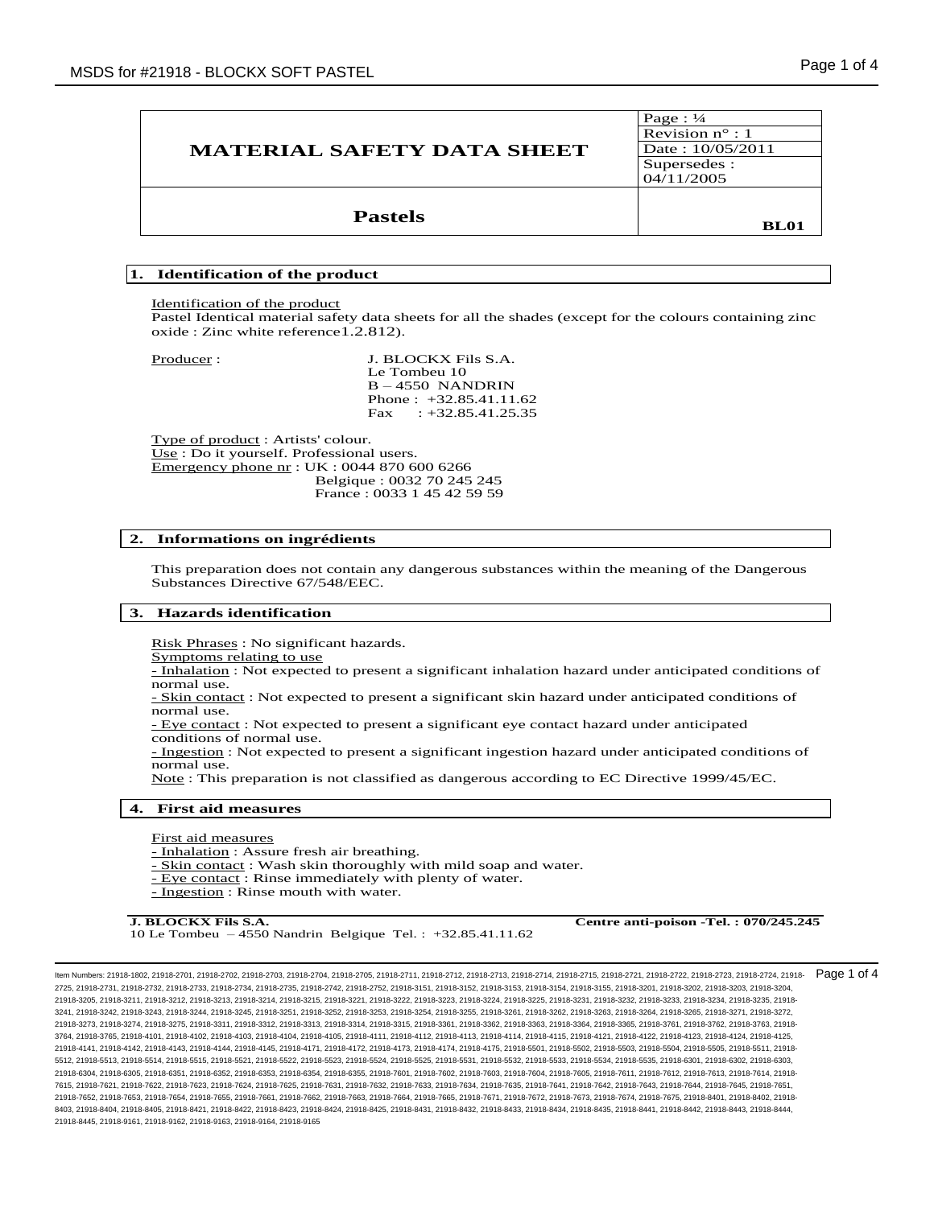| <b>MATERIAL SAFETY DATA SHEET</b> | Page: $\frac{1}{4}$<br>Revision $n^{\circ}$ : 1<br>Date: 10/05/2011<br>Supersedes :<br>04/11/2005 |
|-----------------------------------|---------------------------------------------------------------------------------------------------|
| <b>Pastels</b>                    | <b>BL01</b>                                                                                       |

# **1. Identification of the product**

Identification of the product

Pastel Identical material safety data sheets for all the shades (except for the colours containing zinc oxide : Zinc white reference1.2.812).

Producer : J. BLOCKX Fils S.A. Le Tombeu 10 B – 4550 NANDRIN Phone : +32.85.41.11.62 Fax :  $+32.85.41.25.35$ 

Type of product : Artists' colour. Use : Do it yourself. Professional users. Emergency phone nr : UK : 0044 870 600 6266 Belgique : 0032 70 245 245 France : 0033 1 45 42 59 59

#### **2. Informations on ingrédients**

This preparation does not contain any dangerous substances within the meaning of the Dangerous Substances Directive 67/548/EEC.

#### **3. Hazards identification**

Risk Phrases : No significant hazards.

Symptoms relating to use

- Inhalation : Not expected to present a significant inhalation hazard under anticipated conditions of normal use.

- Skin contact : Not expected to present a significant skin hazard under anticipated conditions of normal use.

- Eye contact : Not expected to present a significant eye contact hazard under anticipated conditions of normal use.

- Ingestion : Not expected to present a significant ingestion hazard under anticipated conditions of normal use.

Note : This preparation is not classified as dangerous according to EC Directive 1999/45/EC.

#### **4. First aid measures**

First aid measures

- Inhalation : Assure fresh air breathing.

- Skin contact : Wash skin thoroughly with mild soap and water.

- Eye contact : Rinse immediately with plenty of water.
- Ingestion : Rinse mouth with water.

10 Le Tombeu – 4550 Nandrin Belgique Tel. : +32.85.41.11.62

**J. BLOCKX Fils S.A. Centre anti-poison -Tel. : 070/245.245**

Item Numbers: 21918-1802, 21918-2701, 21918-2702, 21918-2703, 21918-2704, 21918-2705, 21918-2711, 21918-2712, 21918-2713, 21918-2714, 21918-2715, 21918-2721, 21918-2722, 21918-2723, 21918-2724, 21918- 2725, 21918-2731, 21918-2732, 21918-2733, 21918-2734, 21918-2735, 21918-2742, 21918-2752, 21918-3151, 21918-3152, 21918-3153, 21918-3154, 21918-3155, 21918-3201, 21918-3202, 21918-3203, 21918-3204, 21918-3205, 21918-3211, 21918-3212, 21918-3213, 21918-3214, 21918-3215, 21918-3221, 21918-3222, 21918-3223, 21918-3224, 21918-3225, 21918-3231, 21918-3232, 21918-3233, 21918-3234, 21918-3235, 21918- 3241, 21918-3242, 21918-3243, 21918-3244, 21918-3245, 21918-3251, 21918-3252, 21918-3253, 21918-3254, 21918-3255, 21918-3261, 21918-3262, 21918-3263, 21918-3264, 21918-3265, 21918-3271, 21918-3272, 21918-3273, 21918-3274, 21918-3275, 21918-3311, 21918-3312, 21918-3313, 21918-3314, 21918-3315, 21918-3361, 21918-3362, 21918-3363, 21918-3364, 21918-3365, 21918-3761, 21918-3762, 21918-3763, 21918- 3764, 21918-3765, 21918-4101, 21918-4102, 21918-4103, 21918-4104, 21918-4105, 21918-4111, 21918-4112, 21918-4113, 21918-4114, 21918-4115, 21918-4121, 21918-4122, 21918-4123, 21918-4124, 21918-4125, 21918-4141, 21918-4142, 21918-4143, 21918-4144, 21918-4145, 21918-4171, 21918-4172, 21918-4173, 21918-4174, 21918-4175, 21918-5501, 21918-5502, 21918-5503, 21918-5504, 21918-5505, 21918-5511, 21918- 5512, 21918-5513, 21918-5514, 21918-5515, 21918-5521, 21918-5522, 21918-5523, 21918-5524, 21918-5525, 21918-5531, 21918-5532, 21918-5533, 21918-5534, 21918-5535, 21918-6301, 21918-6302, 21918-6303, 21918-6304, 21918-6305, 21918-6351, 21918-6352, 21918-6353, 21918-6354, 21918-6355, 21918-7601, 21918-7602, 21918-7603, 21918-7604, 21918-7605, 21918-7611, 21918-7612, 21918-7613, 21918-7614, 21918- 7615, 21918-7621, 21918-7622, 21918-7623, 21918-7624, 21918-7625, 21918-7631, 21918-7632, 21918-7633, 21918-7634, 21918-7635, 21918-7641, 21918-7642, 21918-7643, 21918-7644, 21918-7645, 21918-7651, 21918-7652, 21918-7653, 21918-7654, 21918-7655, 21918-7661, 21918-7662, 21918-7663, 21918-7664, 21918-7665, 21918-7671, 21918-7672, 21918-7673, 21918-7674, 21918-7675, 21918-8401, 21918-8402, 21918- 8403, 21918-8404, 21918-8405, 21918-8421, 21918-8423, 21918-8424, 21918-8425, 21918-8431, 21918-8432, 21918-8434, 21918-8435, 21918-8441, 21918-8442, 21918-8443, 21918-8442, 21918-8442, 21918-8442, 21918-8442, 21918-8443, 2 21918-8445, 21918-9161, 21918-9162, 21918-9163, 21918-9164, 21918-9165 Page 1 of 4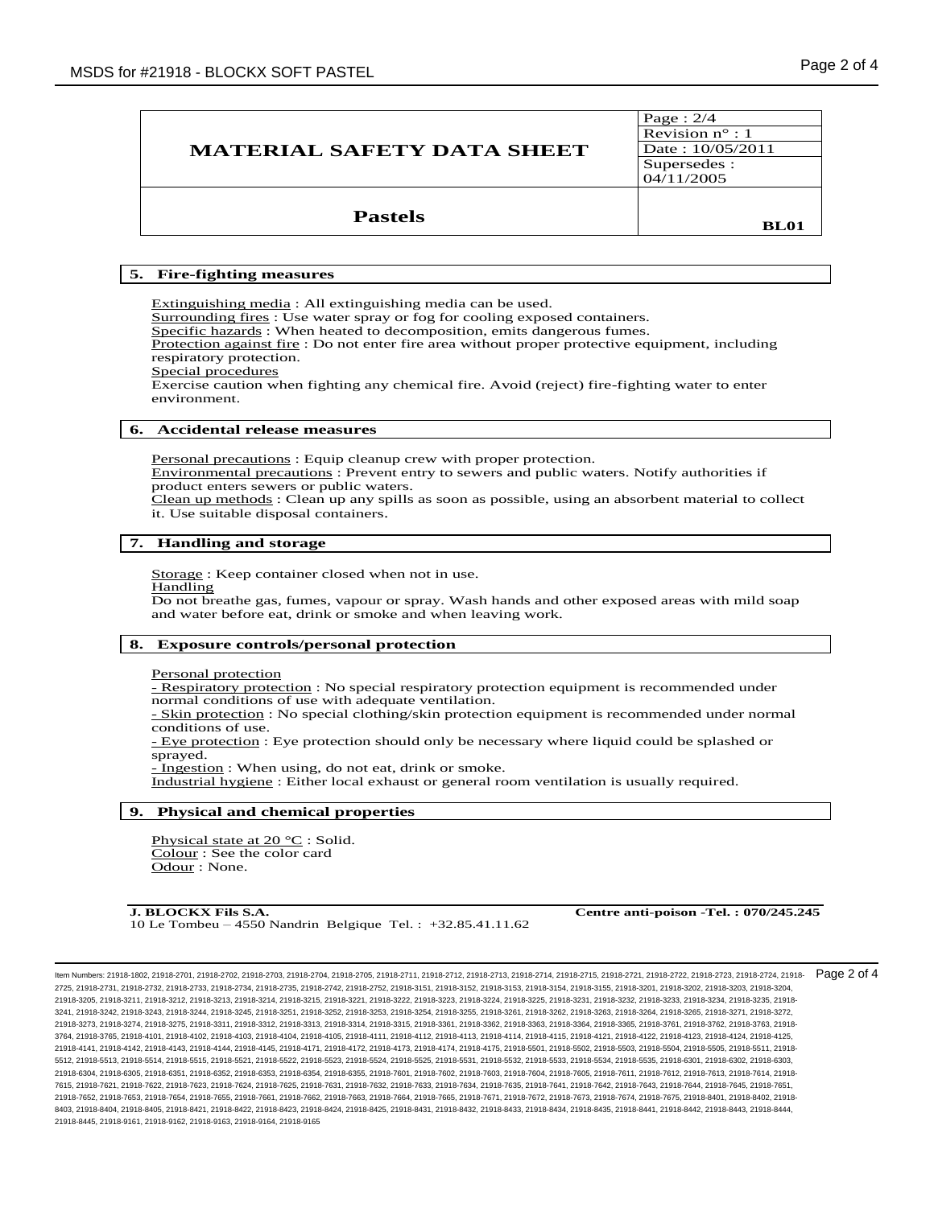| <b>MATERIAL SAFETY DATA SHEET</b> | Page: $2/4$<br>Revision $n^{\circ}$ : 1<br>Date: 10/05/2011<br>Supersedes :<br>04/11/2005 |
|-----------------------------------|-------------------------------------------------------------------------------------------|
| <b>Pastels</b>                    | <b>BL01</b>                                                                               |

# **5. Fire-fighting measures**

Extinguishing media : All extinguishing media can be used. Surrounding fires : Use water spray or fog for cooling exposed containers. Specific hazards : When heated to decomposition, emits dangerous fumes. Protection against fire : Do not enter fire area without proper protective equipment, including respiratory protection. Special procedures Exercise caution when fighting any chemical fire. Avoid (reject) fire-fighting water to enter

## **6. Accidental release measures**

Personal precautions : Equip cleanup crew with proper protection. Environmental precautions : Prevent entry to sewers and public waters. Notify authorities if product enters sewers or public waters. Clean up methods : Clean up any spills as soon as possible, using an absorbent material to collect

it. Use suitable disposal containers.

# **7. Handling and storage** ֺ֖֚֝֬

Storage : Keep container closed when not in use.

#### Handling

environment.

Do not breathe gas, fumes, vapour or spray. Wash hands and other exposed areas with mild soap and water before eat, drink or smoke and when leaving work.

# **8. Exposure controls/personal protection**

Personal protection

- Respiratory protection : No special respiratory protection equipment is recommended under normal conditions of use with adequate ventilation.

- Skin protection : No special clothing/skin protection equipment is recommended under normal conditions of use.

- Eye protection : Eye protection should only be necessary where liquid could be splashed or sprayed.

- Ingestion : When using, do not eat, drink or smoke.

Industrial hygiene : Either local exhaust or general room ventilation is usually required.

## **9. Physical and chemical properties**

Physical state at 20 °C : Solid. Colour : See the color card Odour : None.

**J. BLOCKX Fils S.A. Centre anti-poison -Tel. : 070/245.245** 10 Le Tombeu – 4550 Nandrin Belgique Tel. : +32.85.41.11.62

Page 2 of 4

Item Numbers: 21918-1802, 21918-2701, 21918-2702, 21918-2703, 21918-2704, 21918-2705, 21918-2711, 21918-2712, 21918-2713, 21918-2714, 21918-2715, 21918-2721, 21918-2722, 21918-2723, 21918-2724, 21918- 2725, 21918-2731, 21918-2732, 21918-2733, 21918-2734, 21918-2735, 21918-2742, 21918-2752, 21918-3151, 21918-3152, 21918-3153, 21918-3154, 21918-3155, 21918-3201, 21918-3202, 21918-3203, 21918-3204, 21918-3205, 21918-3211, 21918-3212, 21918-3213, 21918-3214, 21918-3215, 21918-3221, 21918-3222, 21918-3223, 21918-3224, 21918-3225, 21918-3231, 21918-3232, 21918-3233, 21918-3234, 21918-3235, 21918- 3241, 21918-3242, 21918-3243, 21918-3244, 21918-3245, 21918-3251, 21918-3252, 21918-3253, 21918-3254, 21918-3255, 21918-3261, 21918-3262, 21918-3263, 21918-3264, 21918-3265, 21918-3271, 21918-3272, 21918-3273, 21918-3274, 21918-3275, 21918-3311, 21918-3312, 21918-3313, 21918-3314, 21918-3315, 21918-3361, 21918-3362, 21918-3363, 21918-3364, 21918-3365, 21918-3761, 21918-3762, 21918-3763, 21918- 3764, 21918-3765, 21918-4101, 21918-4102, 21918-4103, 21918-4104, 21918-4105, 21918-4111, 21918-4112, 21918-4113, 21918-4114, 21918-4115, 21918-4121, 21918-4122, 21918-4123, 21918-4124, 21918-4125, 21918-4141, 21918-4142, 21918-4143, 21918-4144, 21918-4145, 21918-4171, 21918-4172, 21918-4173, 21918-4174, 21918-4175, 21918-5501, 21918-5502, 21918-5503, 21918-5504, 21918-5505, 21918-5511, 21918- 5512, 21918-5513, 21918-5514, 21918-5515, 21918-5521, 21918-5522, 21918-5523, 21918-5524, 21918-5525, 21918-5531, 21918-5532, 21918-5533, 21918-5534, 21918-5535, 21918-6301, 21918-6302, 21918-6303, 21918-6304, 21918-6305, 21918-6351, 21918-6352, 21918-6353, 21918-6354, 21918-6355, 21918-7601, 21918-7602, 21918-7603, 21918-7604, 21918-7605, 21918-7611, 21918-7612, 21918-7613, 21918-7614, 21918- 7615, 21918-7621, 21918-7622, 21918-7623, 21918-7624, 21918-7625, 21918-7631, 21918-7632, 21918-7633, 21918-7634, 21918-7635, 21918-7641, 21918-7642, 21918-7643, 21918-7644, 21918-7645, 21918-7651, 21918-7652, 21918-7653, 21918-7654, 21918-7655, 21918-7661, 21918-7662, 21918-7663, 21918-7664, 21918-7665, 21918-7671, 21918-7672, 21918-7673, 21918-7674, 21918-7675, 21918-8401, 21918-8402, 21918- 8403, 21918-8404, 21918-8405, 21918-8421, 21918-8423, 21918-8424, 21918-8425, 21918-8431, 21918-8432, 21918-8434, 21918-8435, 21918-8441, 21918-8442, 21918-8443, 21918-8442, 21918-8442, 21918-8442, 21918-8442, 21918-8443, 2 21918-8445, 21918-9161, 21918-9162, 21918-9163, 21918-9164, 21918-9165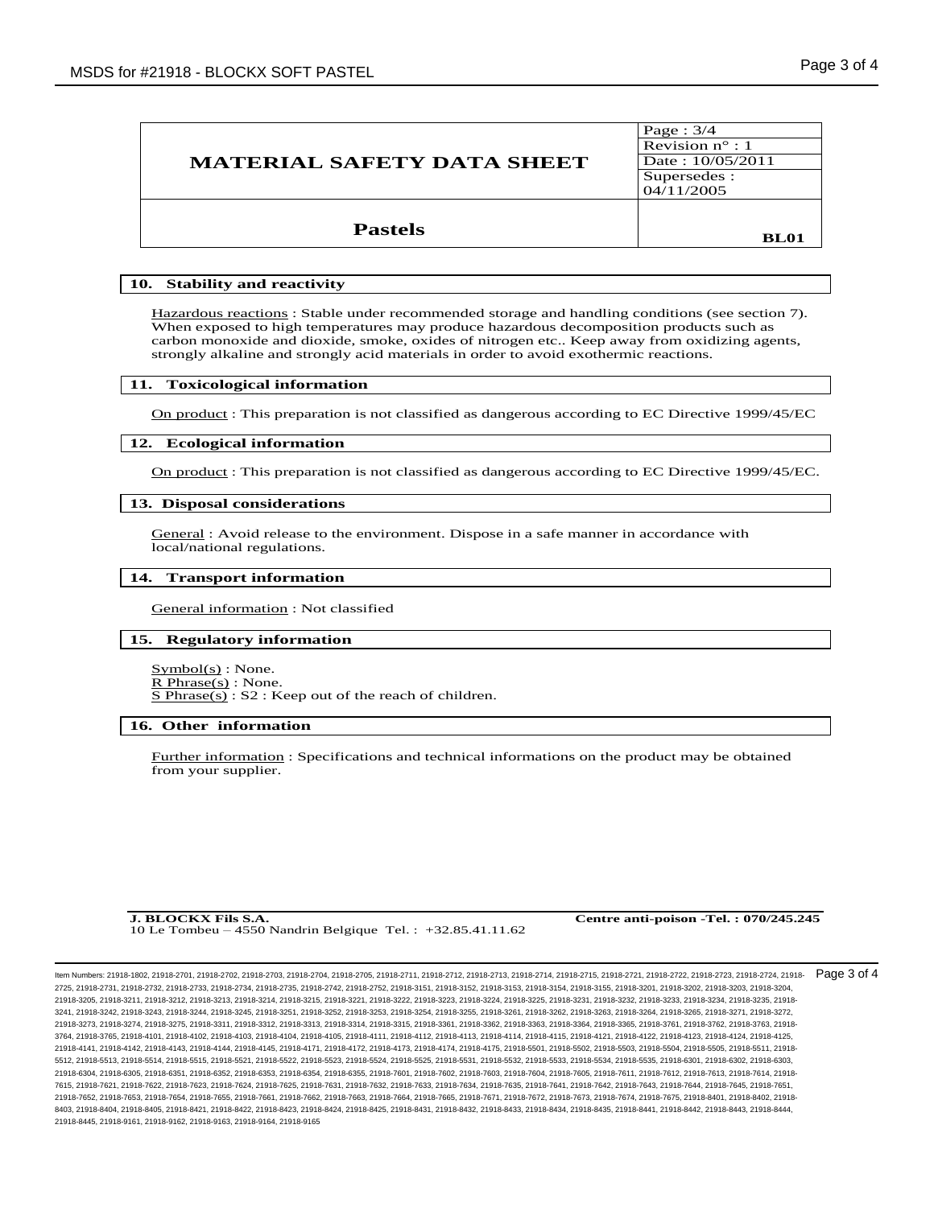| <b>MATERIAL SAFETY DATA SHEET</b> | Page: $3/4$<br>Revision $n^{\circ}$ : 1<br>Date: 10/05/2011<br>Supersedes :<br>04/11/2005 |
|-----------------------------------|-------------------------------------------------------------------------------------------|
| <b>Pastels</b>                    | <b>BL01</b>                                                                               |

## **10. Stability and reactivity**

Hazardous reactions : Stable under recommended storage and handling conditions (see section 7). When exposed to high temperatures may produce hazardous decomposition products such as carbon monoxide and dioxide, smoke, oxides of nitrogen etc.. Keep away from oxidizing agents, strongly alkaline and strongly acid materials in order to avoid exothermic reactions.

#### **11. Toxicological information**

On product : This preparation is not classified as dangerous according to EC Directive 1999/45/EC

#### **12. Ecological information**

On product : This preparation is not classified as dangerous according to EC Directive 1999/45/EC.

# **13. Disposal considerations** ֺ֖֚֝֬

General : Avoid release to the environment. Dispose in a safe manner in accordance with local/national regulations.

# **14. Transport information** ֺ֖֚֝֬

General information : Not classified

### **15. Regulatory information**

 $Symbol(s)$ : None. R Phrase(s) : None. S Phrase(s) : S2 : Keep out of the reach of children.

# **16. Other information** ֺ֖֚֝֬

Further information : Specifications and technical informations on the product may be obtained from your supplier.

10 Le Tombeu – 4550 Nandrin Belgique Tel. : +32.85.41.11.62

**J. BLOCKX Fils S.A. Centre anti-poison -Tel. : 070/245.245**

Item Numbers: 21918-1802, 21918-2701, 21918-2702, 21918-2703, 21918-2704, 21918-2705, 21918-2711, 21918-2712, 21918-2713, 21918-2714, 21918-2715, 21918-2721, 21918-2722, 21918-2723, 21918-2724, 21918- 2725, 21918-2731, 21918-2732, 21918-2733, 21918-2734, 21918-2735, 21918-2742, 21918-2752, 21918-3151, 21918-3152, 21918-3153, 21918-3154, 21918-3155, 21918-3201, 21918-3202, 21918-3203, 21918-3204, 21918-3205, 21918-3211, 21918-3212, 21918-3213, 21918-3214, 21918-3215, 21918-3221, 21918-3222, 21918-3223, 21918-3224, 21918-3225, 21918-3231, 21918-3232, 21918-3233, 21918-3234, 21918-3235, 21918- 3241, 21918-3242, 21918-3243, 21918-3244, 21918-3245, 21918-3251, 21918-3252, 21918-3253, 21918-3254, 21918-3255, 21918-3261, 21918-3262, 21918-3263, 21918-3264, 21918-3265, 21918-3271, 21918-3272, 21918-3273, 21918-3274, 21918-3275, 21918-3311, 21918-3312, 21918-3313, 21918-3314, 21918-3315, 21918-3361, 21918-3362, 21918-3363, 21918-3364, 21918-3365, 21918-3761, 21918-3762, 21918-3763, 21918- 3764, 21918-3765, 21918-4101, 21918-4102, 21918-4103, 21918-4104, 21918-4105, 21918-4111, 21918-4112, 21918-4113, 21918-4114, 21918-4115, 21918-4121, 21918-4122, 21918-4123, 21918-4124, 21918-4125, 21918-4141, 21918-4142, 21918-4143, 21918-4144, 21918-4145, 21918-4171, 21918-4172, 21918-4173, 21918-4174, 21918-4175, 21918-5501, 21918-5502, 21918-5503, 21918-5504, 21918-5505, 21918-5511, 21918- 5512, 21918-5513, 21918-5514, 21918-5515, 21918-5521, 21918-5522, 21918-5523, 21918-5524, 21918-5525, 21918-5531, 21918-5532, 21918-5533, 21918-5534, 21918-5535, 21918-6301, 21918-6302, 21918-6303, 21918-6304, 21918-6305, 21918-6351, 21918-6352, 21918-6353, 21918-6354, 21918-6355, 21918-7601, 21918-7602, 21918-7603, 21918-7604, 21918-7605, 21918-7611, 21918-7612, 21918-7613, 21918-7614, 21918- 7615, 21918-7621, 21918-7622, 21918-7623, 21918-7624, 21918-7625, 21918-7631, 21918-7632, 21918-7633, 21918-7634, 21918-7635, 21918-7641, 21918-7642, 21918-7643, 21918-7644, 21918-7645, 21918-7651, 21918-7652, 21918-7653, 21918-7654, 21918-7655, 21918-7661, 21918-7662, 21918-7663, 21918-7664, 21918-7665, 21918-7671, 21918-7672, 21918-7673, 21918-7674, 21918-7675, 21918-8401, 21918-8402, 21918- 8403, 21918-8404, 21918-8405, 21918-8421, 21918-8423, 21918-8424, 21918-8425, 21918-8431, 21918-8432, 21918-8434, 21918-8435, 21918-8441, 21918-8442, 21918-8443, 21918-8442, 21918-8442, 21918-8442, 21918-8442, 21918-8443, 2 21918-8445, 21918-9161, 21918-9162, 21918-9163, 21918-9164, 21918-9165 Page 3 of 4